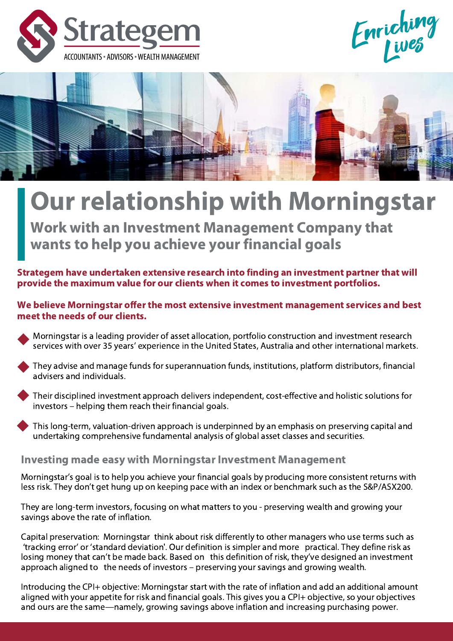





# Our relationship with Morningstar

Work with an Investment Management Company that wants to help you achieve your financial goals

Strategem have undertaken extensive research into finding an investment partner that will provide the maximum value for our clients when it comes to investment portfolios.

#### We believe Morningstar offer the most extensive investment management services and best meet the needs of our clients.

- Morningstar is a leading provider of asset allocation, portfolio construction and investment research services with over 35 years' experience in the United States, Australia and other international markets.
- They advise and manage funds for superannuation funds, institutions, platform distributors, financial advisers and individuals.
- Their disciplined investment approach delivers independent, cost-effective and holistic solutions for investors – helping them reach their financial goals.
- This long-term, valuation-driven approach is underpinned by an emphasis on preserving capital and undertaking comprehensive fundamental analysis of global asset classes and securities.

### Investing made easy with Morningstar Investment Management

Morningstar's goal is to help you achieve your financial goals by producing more consistent returns with less risk. They don't get hung up on keeping pace with an index or benchmark such as the S&P/ASX200.

They are long-term investors, focusing on what matters to you - preserving wealth and growing your savings above the rate of inflation.

Capital preservation: Morningstar think about risk differently to other managers who use terms such as 'tracking error' or 'standard deviation'. Our definition is simpler and more practical. They define risk as losing money that can't be made back. Based on this definition of risk, they've designed an investment approach aligned to the needs of investors – preserving your savings and growing wealth.

Introducing the CPI+ objective: Morningstar start with the rate of inflation and add an additional amount aligned with your appetite for risk and financial goals. This gives you a CPI+ objective, so your objectives and ours are the same—namely, growing savings above inflation and increasing purchasing power.